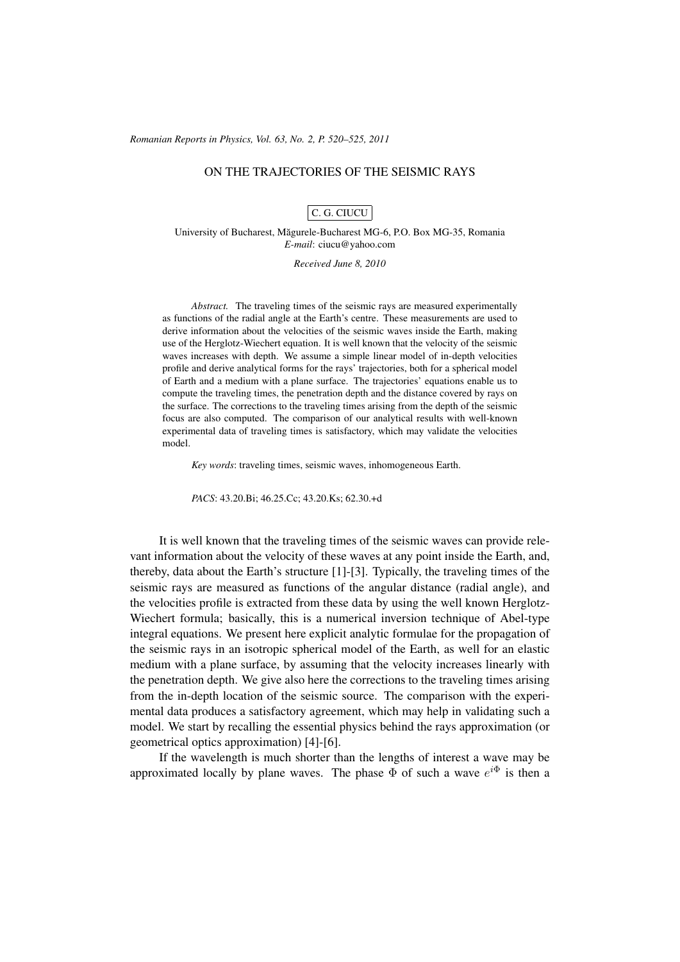(c) RRP 63(2) 520–525 2011 *Romanian Reports in Physics, Vol. 63, No. 2, P. 520–525, 2011*

## ON THE TRAJECTORIES OF THE SEISMIC RAYS

## C. G. CIUCU

University of Bucharest, Magurele-Bucharest MG-6, P.O. Box MG-35, Romania ˘ *E-mail*: ciucu@yahoo.com

*Received June 8, 2010*

*Abstract.* The traveling times of the seismic rays are measured experimentally as functions of the radial angle at the Earth's centre. These measurements are used to derive information about the velocities of the seismic waves inside the Earth, making use of the Herglotz-Wiechert equation. It is well known that the velocity of the seismic waves increases with depth. We assume a simple linear model of in-depth velocities profile and derive analytical forms for the rays' trajectories, both for a spherical model of Earth and a medium with a plane surface. The trajectories' equations enable us to compute the traveling times, the penetration depth and the distance covered by rays on the surface. The corrections to the traveling times arising from the depth of the seismic focus are also computed. The comparison of our analytical results with well-known experimental data of traveling times is satisfactory, which may validate the velocities model.

*Key words*: traveling times, seismic waves, inhomogeneous Earth.

*PACS*: 43.20.Bi; 46.25.Cc; 43.20.Ks; 62.30.+d

It is well known that the traveling times of the seismic waves can provide relevant information about the velocity of these waves at any point inside the Earth, and, thereby, data about the Earth's structure [1]-[3]. Typically, the traveling times of the seismic rays are measured as functions of the angular distance (radial angle), and the velocities profile is extracted from these data by using the well known Herglotz-Wiechert formula; basically, this is a numerical inversion technique of Abel-type integral equations. We present here explicit analytic formulae for the propagation of the seismic rays in an isotropic spherical model of the Earth, as well for an elastic medium with a plane surface, by assuming that the velocity increases linearly with the penetration depth. We give also here the corrections to the traveling times arising from the in-depth location of the seismic source. The comparison with the experimental data produces a satisfactory agreement, which may help in validating such a model. We start by recalling the essential physics behind the rays approximation (or geometrical optics approximation) [4]-[6].

If the wavelength is much shorter than the lengths of interest a wave may be approximated locally by plane waves. The phase  $\Phi$  of such a wave  $e^{i\Phi}$  is then a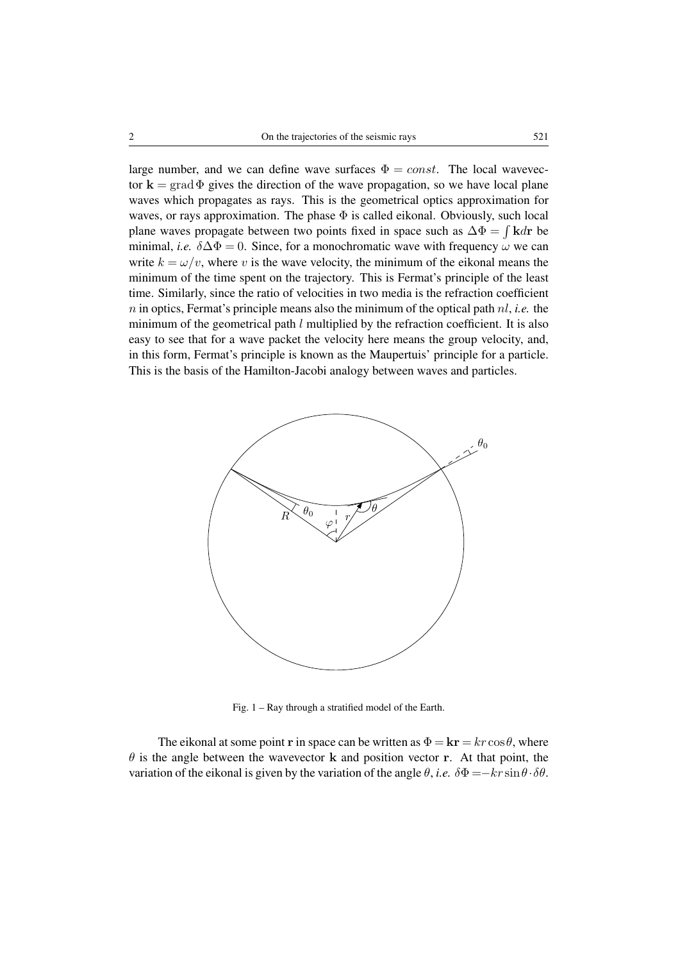large number, and we can define wave surfaces  $\Phi = const.$  The local wavevector  $k = \text{grad}\Phi$  gives the direction of the wave propagation, so we have local plane waves which propagates as rays. This is the geometrical optics approximation for waves, or rays approximation. The phase  $\Phi$  is called eikonal. Obviously, such local plane waves propagate between two points fixed in space such as  $\Delta \Phi = \int \mathbf{k} d\mathbf{r}$  be minimal, *i.e.*  $\delta \Delta \Phi = 0$ . Since, for a monochromatic wave with frequency  $\omega$  we can write  $k = \omega/v$ , where v is the wave velocity, the minimum of the eikonal means the minimum of the time spent on the trajectory. This is Fermat's principle of the least time. Similarly, since the ratio of velocities in two media is the refraction coefficient n in optics, Fermat's principle means also the minimum of the optical path nl, *i.e.* the minimum of the geometrical path  $l$  multiplied by the refraction coefficient. It is also easy to see that for a wave packet the velocity here means the group velocity, and, in this form, Fermat's principle is known as the Maupertuis' principle for a particle. This is the basis of the Hamilton-Jacobi analogy between waves and particles.



Fig. 1 – Ray through a stratified model of the Earth.

The eikonal at some point r in space can be written as  $\Phi = \mathbf{kr} = kr \cos \theta$ , where  $\theta$  is the angle between the wavevector k and position vector r. At that point, the variation of the eikonal is given by the variation of the angle  $\theta$ , *i.e.*  $\delta \Phi = -k r \sin \theta \cdot \delta \theta$ .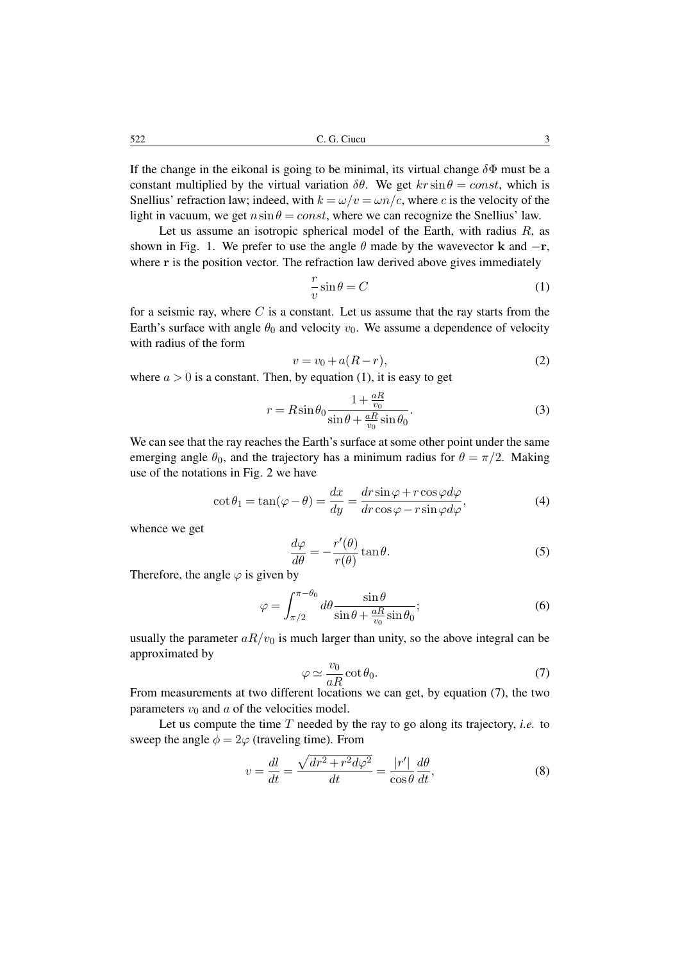522 C. G. Ciucu 3

If the change in the eikonal is going to be minimal, its virtual change  $\delta\Phi$  must be a constant multiplied by the virtual variation  $\delta\theta$ . We get  $kr \sin \theta = const$ , which is Snellius' refraction law; indeed, with  $k = \omega/v = \omega n/c$ , where c is the velocity of the light in vacuum, we get  $n\sin\theta = const$ , where we can recognize the Snellius' law.

Let us assume an isotropic spherical model of the Earth, with radius  $R$ , as shown in Fig. 1. We prefer to use the angle  $\theta$  made by the wavevector **k** and  $-\mathbf{r}$ , where r is the position vector. The refraction law derived above gives immediately

$$
\frac{r}{v}\sin\theta = C\tag{1}
$$

for a seismic ray, where  $C$  is a constant. Let us assume that the ray starts from the Earth's surface with angle  $\theta_0$  and velocity  $v_0$ . We assume a dependence of velocity with radius of the form

$$
v = v_0 + a(R - r),\tag{2}
$$

where  $a > 0$  is a constant. Then, by equation (1), it is easy to get

$$
r = R\sin\theta_0 \frac{1 + \frac{aR}{v_0}}{\sin\theta + \frac{aR}{v_0}\sin\theta_0}.
$$
\n(3)

We can see that the ray reaches the Earth's surface at some other point under the same emerging angle  $\theta_0$ , and the trajectory has a minimum radius for  $\theta = \pi/2$ . Making use of the notations in Fig. 2 we have

$$
\cot \theta_1 = \tan(\varphi - \theta) = \frac{dx}{dy} = \frac{dr \sin \varphi + r \cos \varphi d\varphi}{dr \cos \varphi - r \sin \varphi d\varphi},\tag{4}
$$

whence we get

$$
\frac{d\varphi}{d\theta} = -\frac{r'(\theta)}{r(\theta)}\tan\theta.
$$
\n(5)

Therefore, the angle  $\varphi$  is given by

$$
\varphi = \int_{\pi/2}^{\pi-\theta_0} d\theta \frac{\sin\theta}{\sin\theta + \frac{aR}{v_0}\sin\theta_0};
$$
\n(6)

usually the parameter  $aR/v_0$  is much larger than unity, so the above integral can be approximated by

$$
\varphi \simeq \frac{v_0}{aR} \cot \theta_0. \tag{7}
$$

From measurements at two different locations we can get, by equation (7), the two parameters  $v_0$  and a of the velocities model.

Let us compute the time  $T$  needed by the ray to go along its trajectory, *i.e.* to sweep the angle  $\phi = 2\varphi$  (traveling time). From

$$
v = \frac{dl}{dt} = \frac{\sqrt{dr^2 + r^2 d\varphi^2}}{dt} = \frac{|r'|}{\cos \theta} \frac{d\theta}{dt},
$$
\n(8)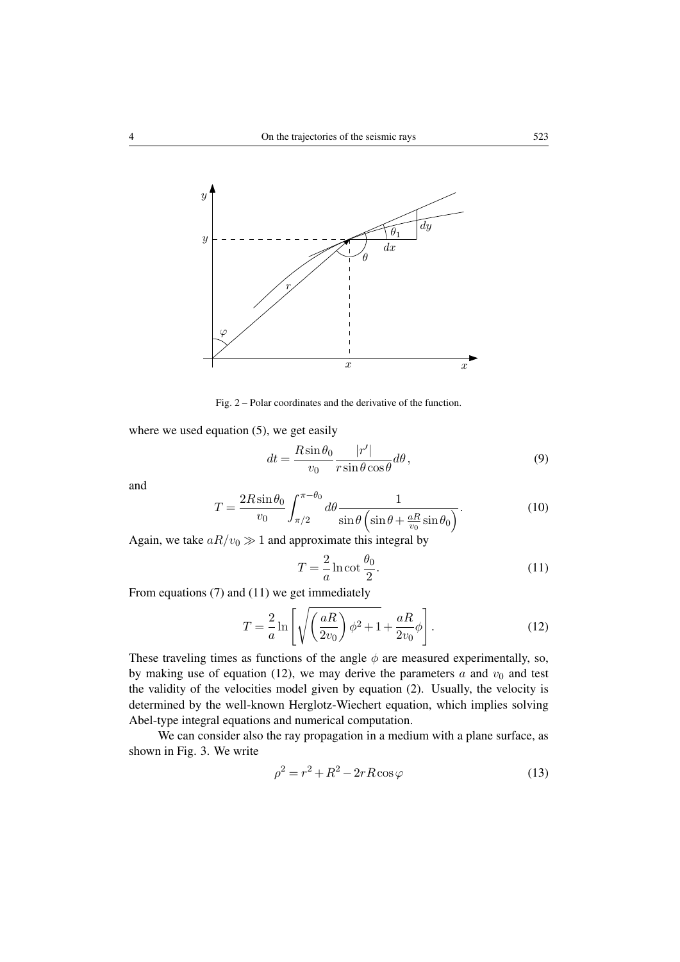

Fig. 2 – Polar coordinates and the derivative of the function.

where we used equation (5), we get easily

$$
dt = \frac{R\sin\theta_0}{v_0} \frac{|r'|}{r\sin\theta\cos\theta} d\theta, \qquad (9)
$$

and

$$
T = \frac{2R\sin\theta_0}{v_0} \int_{\pi/2}^{\pi-\theta_0} d\theta \frac{1}{\sin\theta \left(\sin\theta + \frac{aR}{v_0}\sin\theta_0\right)}.
$$
 (10)

Again, we take  $aR/v_0 \gg 1$  and approximate this integral by

$$
T = -\frac{2}{a}\ln \cot \frac{\theta_0}{2}.
$$
\n(11)

From equations (7) and (11) we get immediately

$$
T = \frac{2}{a} \ln \left[ \sqrt{\left(\frac{aR}{2v_0}\right)\phi^2 + 1} + \frac{aR}{2v_0}\phi \right].
$$
 (12)

These traveling times as functions of the angle  $\phi$  are measured experimentally, so, by making use of equation (12), we may derive the parameters  $a$  and  $v_0$  and test the validity of the velocities model given by equation (2). Usually, the velocity is determined by the well-known Herglotz-Wiechert equation, which implies solving Abel-type integral equations and numerical computation.

We can consider also the ray propagation in a medium with a plane surface, as shown in Fig. 3. We write

$$
\rho^2 = r^2 + R^2 - 2rR\cos\varphi\tag{13}
$$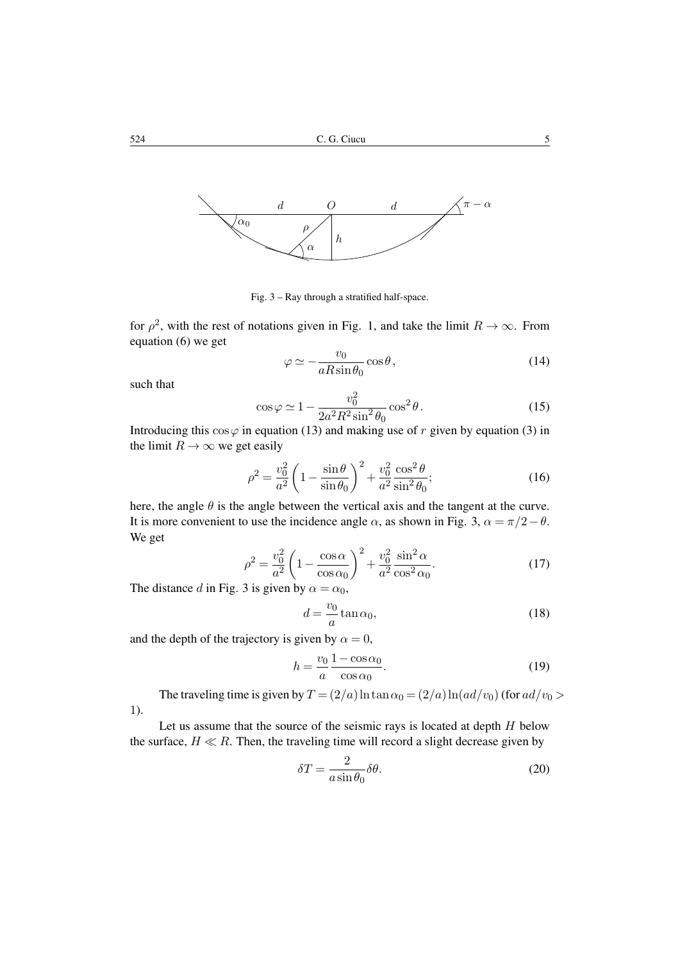

Fig. 3 – Ray through a stratified half-space.

for  $\rho^2$ , with the rest of notations given in Fig. 1, and take the limit  $R \to \infty$ . From equation (6) we get

$$
\varphi \simeq -\frac{v_0}{aR\sin\theta_0}\cos\theta,\tag{14}
$$

such that

$$
\cos\varphi \simeq 1 - \frac{v_0^2}{2a^2 R^2 \sin^2 \theta_0} \cos^2 \theta.
$$
 (15)

Introducing this  $\cos \varphi$  in equation (13) and making use of r given by equation (3) in the limit  $R \to \infty$  we get easily

$$
\rho^2 = \frac{v_0^2}{a^2} \left( 1 - \frac{\sin \theta}{\sin \theta_0} \right)^2 + \frac{v_0^2}{a^2} \frac{\cos^2 \theta}{\sin^2 \theta_0};
$$
\n(16)

here, the angle  $\theta$  is the angle between the vertical axis and the tangent at the curve. It is more convenient to use the incidence angle  $\alpha$ , as shown in Fig. 3,  $\alpha = \pi/2 - \theta$ . We get

$$
\rho^2 = \frac{v_0^2}{a^2} \left( 1 - \frac{\cos \alpha}{\cos \alpha_0} \right)^2 + \frac{v_0^2}{a^2} \frac{\sin^2 \alpha}{\cos^2 \alpha_0}.
$$
 (17)

The distance d in Fig. 3 is given by  $\alpha = \alpha_0$ ,

$$
d = \frac{v_0}{a} \tan \alpha_0,\tag{18}
$$

and the depth of the trajectory is given by  $\alpha = 0$ ,

$$
h = \frac{v_0}{a} \frac{1 - \cos \alpha_0}{\cos \alpha_0}.
$$
 (19)

The traveling time is given by  $T = (2/a) \ln \tan \alpha_0 = (2/a) \ln (ad/v_0)$  (for  $ad/v_0 >$ 1).

Let us assume that the source of the seismic rays is located at depth  $H$  below the surface,  $H \ll R$ . Then, the traveling time will record a slight decrease given by

$$
\delta T = \frac{2}{a \sin \theta_0} \delta \theta.
$$
 (20)